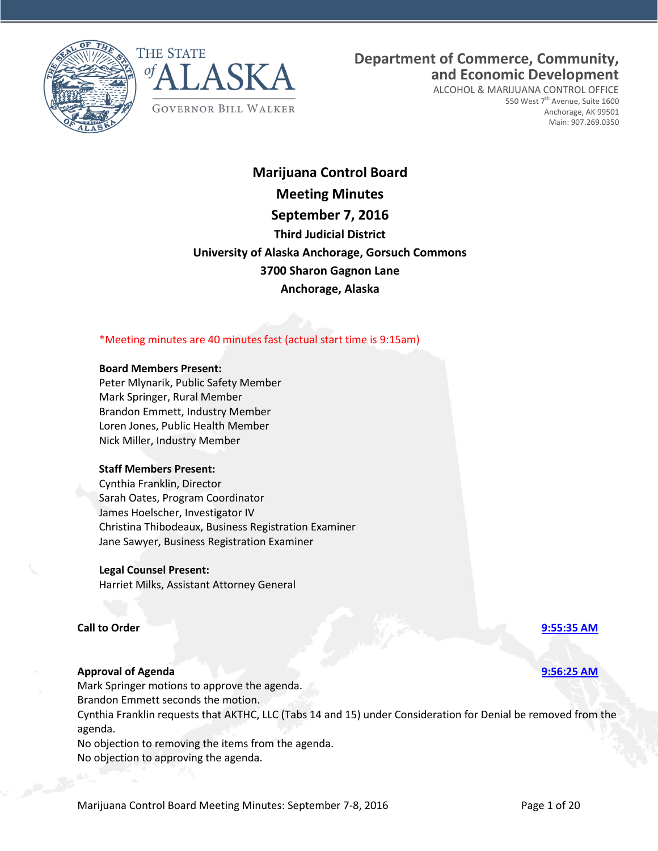



# **Department of Commerce, Community, and Economic Development**

ALCOHOL & MARIJUANA CONTROL OFFICE 550 West 7<sup>th</sup> Avenue, Suite 1600 Anchorage, AK 99501 Main: 907.269.0350

# **Marijuana Control Board Meeting Minutes September 7, 2016 Third Judicial District University of Alaska Anchorage, Gorsuch Commons 3700 Sharon Gagnon Lane Anchorage, Alaska**

## \*Meeting minutes are 40 minutes fast (actual start time is 9:15am)

### **Board Members Present:**

Peter Mlynarik, Public Safety Member Mark Springer, Rural Member Brandon Emmett, Industry Member Loren Jones, Public Health Member Nick Miller, Industry Member

### **Staff Members Present:**

Cynthia Franklin, Director Sarah Oates, Program Coordinator James Hoelscher, Investigator IV Christina Thibodeaux, Business Registration Examiner Jane Sawyer, Business Registration Examiner

### **Legal Counsel Present:**

Harriet Milks, Assistant Attorney General

## **Call to Order [9:55:35 AM](ftr://?location="ABC Board"?date="07-Sep-2016"?position="09:55:35"?Data="4cf1e542")**

## **Approval of Agenda [9:56:25 AM](ftr://?location="ABC Board"?date="07-Sep-2016"?position="09:56:25"?Data="6c9a8de4")**

Mark Springer motions to approve the agenda. Brandon Emmett seconds the motion. Cynthia Franklin requests that AKTHC, LLC (Tabs 14 and 15) under Consideration for Denial be removed from the agenda. No objection to removing the items from the agenda.

No objection to approving the agenda.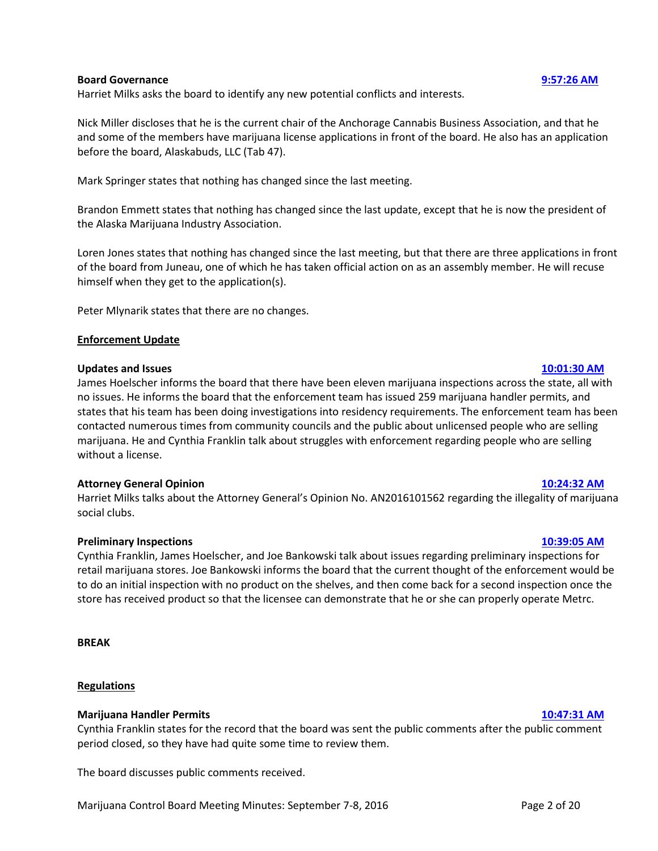### **Board Governance [9:57:26 AM](ftr://?location="ABC Board"?date="07-Sep-2016"?position="09:57:26"?Data="91ed4934")**

Harriet Milks asks the board to identify any new potential conflicts and interests.

Nick Miller discloses that he is the current chair of the Anchorage Cannabis Business Association, and that he and some of the members have marijuana license applications in front of the board. He also has an application before the board, Alaskabuds, LLC (Tab 47).

Mark Springer states that nothing has changed since the last meeting.

Brandon Emmett states that nothing has changed since the last update, except that he is now the president of the Alaska Marijuana Industry Association.

Loren Jones states that nothing has changed since the last meeting, but that there are three applications in front of the board from Juneau, one of which he has taken official action on as an assembly member. He will recuse himself when they get to the application(s).

Peter Mlynarik states that there are no changes.

## **Enforcement Update**

### **Updates and Issues [10:01:30 AM](ftr://?location="ABC Board"?date="07-Sep-2016"?position="10:01:30"?Data="d84e7a25")**

James Hoelscher informs the board that there have been eleven marijuana inspections across the state, all with no issues. He informs the board that the enforcement team has issued 259 marijuana handler permits, and states that his team has been doing investigations into residency requirements. The enforcement team has been contacted numerous times from community councils and the public about unlicensed people who are selling marijuana. He and Cynthia Franklin talk about struggles with enforcement regarding people who are selling without a license.

### **Attorney General Opinion [10:24:32 AM](ftr://?location="ABC Board"?date="07-Sep-2016"?position="10:24:32"?Data="7855e775")**

Harriet Milks talks about the Attorney General's Opinion No. AN2016101562 regarding the illegality of marijuana social clubs.

### **Preliminary Inspections [10:39:05 AM](ftr://?location="ABC Board"?date="07-Sep-2016"?position="10:39:05"?Data="0d4d6abd")**

Cynthia Franklin, James Hoelscher, and Joe Bankowski talk about issues regarding preliminary inspections for retail marijuana stores. Joe Bankowski informs the board that the current thought of the enforcement would be to do an initial inspection with no product on the shelves, and then come back for a second inspection once the store has received product so that the licensee can demonstrate that he or she can properly operate Metrc.

**BREAK**

### **Regulations**

### **Marijuana Handler Permits [10:47:31 AM](ftr://?location="ABC Board"?date="07-Sep-2016"?position="10:47:31"?Data="6eea5678")**

Cynthia Franklin states for the record that the board was sent the public comments after the public comment period closed, so they have had quite some time to review them.

The board discusses public comments received.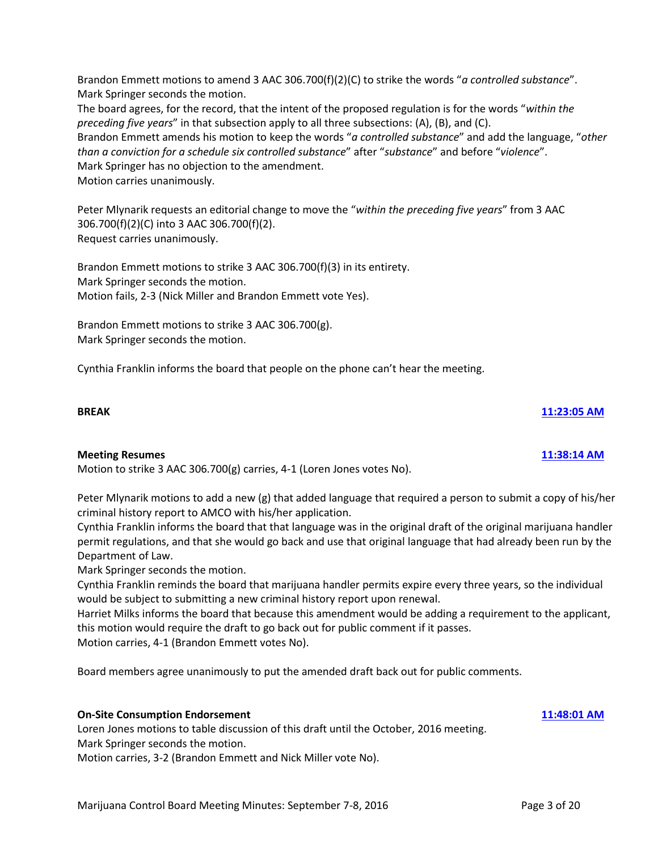Brandon Emmett motions to amend 3 AAC 306.700(f)(2)(C) to strike the words "*a controlled substance*". Mark Springer seconds the motion.

The board agrees, for the record, that the intent of the proposed regulation is for the words "*within the preceding five years*" in that subsection apply to all three subsections: (A), (B), and (C). Brandon Emmett amends his motion to keep the words "*a controlled substance*" and add the language, "*other than a conviction for a schedule six controlled substance*" after "*substance*" and before "*violence*". Mark Springer has no objection to the amendment. Motion carries unanimously.

Peter Mlynarik requests an editorial change to move the "*within the preceding five years*" from 3 AAC 306.700(f)(2)(C) into 3 AAC 306.700(f)(2). Request carries unanimously.

Brandon Emmett motions to strike 3 AAC 306.700(f)(3) in its entirety. Mark Springer seconds the motion. Motion fails, 2-3 (Nick Miller and Brandon Emmett vote Yes).

Brandon Emmett motions to strike 3 AAC 306.700(g). Mark Springer seconds the motion.

Cynthia Franklin informs the board that people on the phone can't hear the meeting.

## **BREAK [11:23:05 AM](ftr://?location="ABC Board"?date="07-Sep-2016"?position="11:23:05"?Data="2fa2278a")**

## **Meeting Resumes [11:38:14 AM](ftr://?location="ABC Board"?date="07-Sep-2016"?position="11:38:14"?Data="3f0724d2")**

Motion to strike 3 AAC 306.700(g) carries, 4-1 (Loren Jones votes No).

Peter Mlynarik motions to add a new (g) that added language that required a person to submit a copy of his/her criminal history report to AMCO with his/her application.

Cynthia Franklin informs the board that that language was in the original draft of the original marijuana handler permit regulations, and that she would go back and use that original language that had already been run by the Department of Law.

Mark Springer seconds the motion.

Cynthia Franklin reminds the board that marijuana handler permits expire every three years, so the individual would be subject to submitting a new criminal history report upon renewal.

Harriet Milks informs the board that because this amendment would be adding a requirement to the applicant, this motion would require the draft to go back out for public comment if it passes.

Motion carries, 4-1 (Brandon Emmett votes No).

Board members agree unanimously to put the amended draft back out for public comments.

## **On-Site Consumption Endorsement [11:48:01 AM](ftr://?location="ABC Board"?date="07-Sep-2016"?position="11:48:01"?Data="b71deeca")**

Loren Jones motions to table discussion of this draft until the October, 2016 meeting. Mark Springer seconds the motion.

Motion carries, 3-2 (Brandon Emmett and Nick Miller vote No).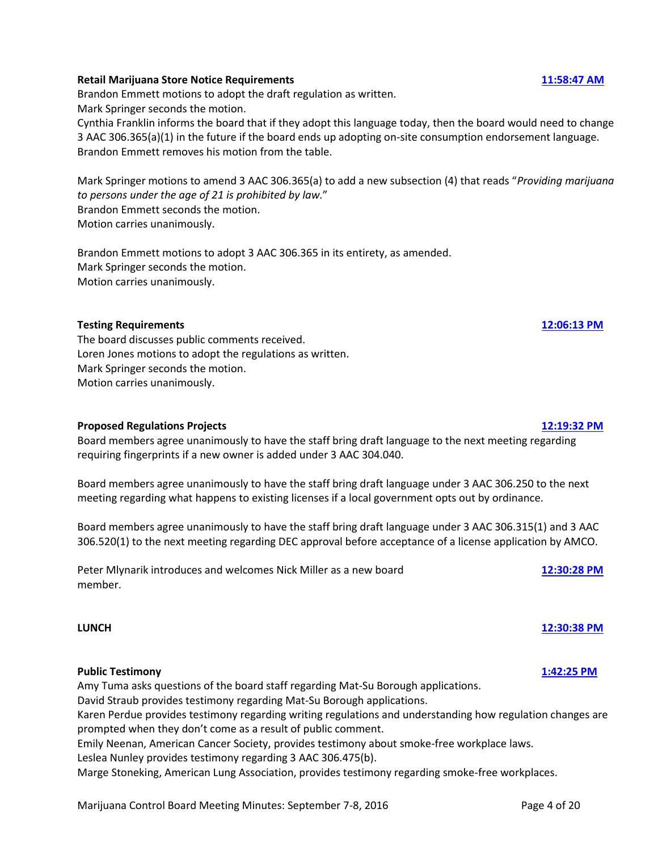## Marijuana Control Board Meeting Minutes: September 7-8, 2016 Page 4 of 20

## **Retail Marijuana Store Notice Requirements [11:58:47 AM](ftr://?location="ABC Board"?date="07-Sep-2016"?position="11:58:47"?Data="9242bf6f")**

Brandon Emmett motions to adopt the draft regulation as written. Mark Springer seconds the motion.

Cynthia Franklin informs the board that if they adopt this language today, then the board would need to change 3 AAC 306.365(a)(1) in the future if the board ends up adopting on-site consumption endorsement language. Brandon Emmett removes his motion from the table.

Mark Springer motions to amend 3 AAC 306.365(a) to add a new subsection (4) that reads "*Providing marijuana to persons under the age of 21 is prohibited by law.*" Brandon Emmett seconds the motion. Motion carries unanimously.

Brandon Emmett motions to adopt 3 AAC 306.365 in its entirety, as amended. Mark Springer seconds the motion. Motion carries unanimously.

## **Testing Requirements [12:06:13 PM](ftr://?location="ABC Board"?date="07-Sep-2016"?position="12:06:13"?Data="e24f4ada")**

The board discusses public comments received. Loren Jones motions to adopt the regulations as written. Mark Springer seconds the motion. Motion carries unanimously.

### **Proposed Regulations Projects [12:19:32 PM](ftr://?location="ABC Board"?date="07-Sep-2016"?position="12:19:32"?Data="7d959b56")**

Board members agree unanimously to have the staff bring draft language to the next meeting regarding requiring fingerprints if a new owner is added under 3 AAC 304.040.

Board members agree unanimously to have the staff bring draft language under 3 AAC 306.250 to the next meeting regarding what happens to existing licenses if a local government opts out by ordinance.

Board members agree unanimously to have the staff bring draft language under 3 AAC 306.315(1) and 3 AAC 306.520(1) to the next meeting regarding DEC approval before acceptance of a license application by AMCO.

Peter Mlynarik introduces and welcomes Nick Miller as a new board **[12:30:28 PM](ftr://?location="ABC Board"?date="07-Sep-2016"?position="12:30:28"?Data="c95a1dc2")** member.

## **Public Testimony [1:42:25 PM](ftr://?location="ABC Board"?date="07-Sep-2016"?position="13:42:25"?Data="e5356d3c")**

Amy Tuma asks questions of the board staff regarding Mat-Su Borough applications. David Straub provides testimony regarding Mat-Su Borough applications. Karen Perdue provides testimony regarding writing regulations and understanding how regulation changes are prompted when they don't come as a result of public comment. Emily Neenan, American Cancer Society, provides testimony about smoke-free workplace laws. Leslea Nunley provides testimony regarding 3 AAC 306.475(b). Marge Stoneking, American Lung Association, provides testimony regarding smoke-free workplaces.

## **LUNCH [12:30:38 PM](ftr://?location="ABC Board"?date="07-Sep-2016"?position="12:30:38"?Data="0206ce67")**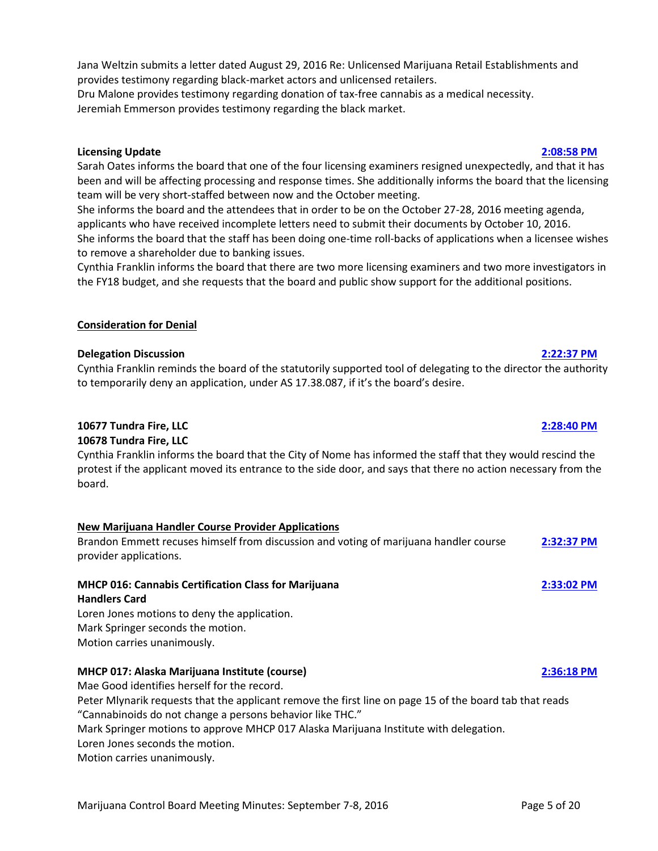Jana Weltzin submits a letter dated August 29, 2016 Re: Unlicensed Marijuana Retail Establishments and provides testimony regarding black-market actors and unlicensed retailers.

Dru Malone provides testimony regarding donation of tax-free cannabis as a medical necessity. Jeremiah Emmerson provides testimony regarding the black market.

## **Licensing Update [2:08:58 PM](ftr://?location="ABC Board"?date="07-Sep-2016"?position="14:08:58"?Data="e387d69a")**

Sarah Oates informs the board that one of the four licensing examiners resigned unexpectedly, and that it has been and will be affecting processing and response times. She additionally informs the board that the licensing team will be very short-staffed between now and the October meeting.

She informs the board and the attendees that in order to be on the October 27-28, 2016 meeting agenda, applicants who have received incomplete letters need to submit their documents by October 10, 2016. She informs the board that the staff has been doing one-time roll-backs of applications when a licensee wishes to remove a shareholder due to banking issues.

Cynthia Franklin informs the board that there are two more licensing examiners and two more investigators in the FY18 budget, and she requests that the board and public show support for the additional positions.

## **Consideration for Denial**

## **Delegation Discussion [2:22:37 PM](ftr://?location="ABC Board"?date="07-Sep-2016"?position="14:22:37"?Data="96a42b87")**

Cynthia Franklin reminds the board of the statutorily supported tool of delegating to the director the authority to temporarily deny an application, under AS 17.38.087, if it's the board's desire.

## **10677 Tundra Fire, LLC [2:28:40 PM](ftr://?location="ABC Board"?date="07-Sep-2016"?position="14:28:40"?Data="0154b34f")**

## **10678 Tundra Fire, LLC**

Cynthia Franklin informs the board that the City of Nome has informed the staff that they would rescind the protest if the applicant moved its entrance to the side door, and says that there no action necessary from the board.

## **New Marijuana Handler Course Provider Applications**

Brandon Emmett recuses himself from discussion and voting of marijuana handler course **[2:32:37 PM](ftr://?location="ABC Board"?date="07-Sep-2016"?position="14:32:37"?Data="0d0167e8")** provider applications.

## **MHCP 016: Cannabis Certification Class for Marijuana [2:33:02 PM](ftr://?location="ABC Board"?date="07-Sep-2016"?position="14:33:02"?Data="53898e4a")**

## **Handlers Card**

Loren Jones motions to deny the application. Mark Springer seconds the motion. Motion carries unanimously.

## **MHCP 017: Alaska Marijuana Institute (course) [2:36:18 PM](ftr://?location="ABC Board"?date="07-Sep-2016"?position="14:36:18"?Data="114176cf")**

Mae Good identifies herself for the record.

Peter Mlynarik requests that the applicant remove the first line on page 15 of the board tab that reads "Cannabinoids do not change a persons behavior like THC."

Mark Springer motions to approve MHCP 017 Alaska Marijuana Institute with delegation.

Loren Jones seconds the motion.

Motion carries unanimously.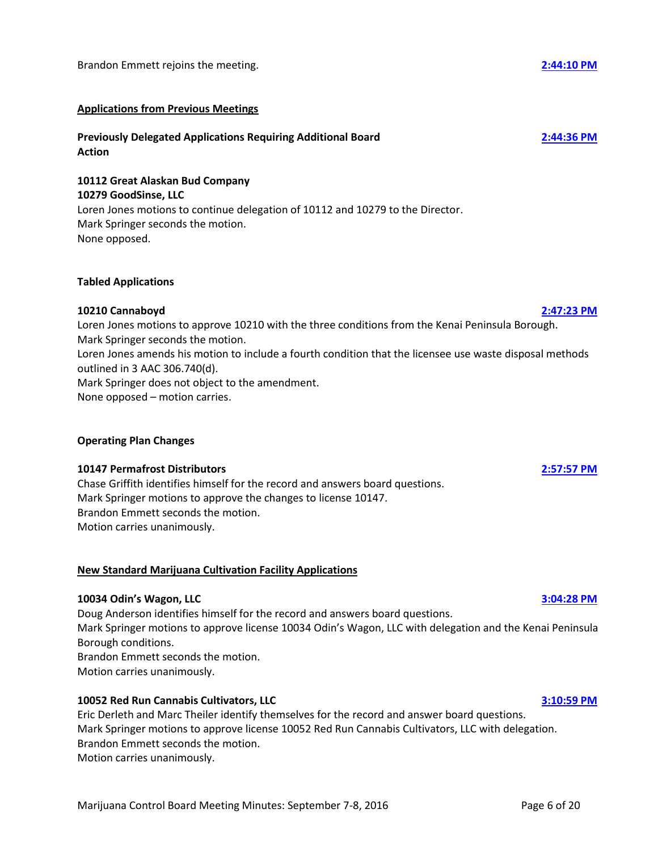## **Applications from Previous Meetings**

## **Previously Delegated Applications Requiring Additional Board [2:44:36 PM](ftr://?location="ABC Board"?date="07-Sep-2016"?position="14:44:36"?Data="cc3b9945") Action**

## **10112 Great Alaskan Bud Company 10279 GoodSinse, LLC**

Loren Jones motions to continue delegation of 10112 and 10279 to the Director. Mark Springer seconds the motion. None opposed.

## **Tabled Applications**

## **10210 Cannaboyd [2:47:23 PM](ftr://?location="ABC Board"?date="07-Sep-2016"?position="14:47:23"?Data="db8e01d1")**

Loren Jones motions to approve 10210 with the three conditions from the Kenai Peninsula Borough. Mark Springer seconds the motion. Loren Jones amends his motion to include a fourth condition that the licensee use waste disposal methods outlined in 3 AAC 306.740(d). Mark Springer does not object to the amendment.

None opposed – motion carries.

## **Operating Plan Changes**

## **10147 Permafrost Distributors [2:57:57 PM](ftr://?location="ABC Board"?date="07-Sep-2016"?position="14:57:57"?Data="d24cea51")**

Chase Griffith identifies himself for the record and answers board questions. Mark Springer motions to approve the changes to license 10147. Brandon Emmett seconds the motion. Motion carries unanimously.

## **New Standard Marijuana Cultivation Facility Applications**

## **10034 Odin's Wagon, LLC [3:04:28 PM](ftr://?location="ABC Board"?date="07-Sep-2016"?position="15:04:28"?Data="4ad6973d")**

Doug Anderson identifies himself for the record and answers board questions. Mark Springer motions to approve license 10034 Odin's Wagon, LLC with delegation and the Kenai Peninsula Borough conditions. Brandon Emmett seconds the motion. Motion carries unanimously.

## **10052 Red Run Cannabis Cultivators, LLC [3:10:59 PM](ftr://?location="ABC Board"?date="07-Sep-2016"?position="15:10:59"?Data="7d212cf5")**

Eric Derleth and Marc Theiler identify themselves for the record and answer board questions. Mark Springer motions to approve license 10052 Red Run Cannabis Cultivators, LLC with delegation. Brandon Emmett seconds the motion. Motion carries unanimously.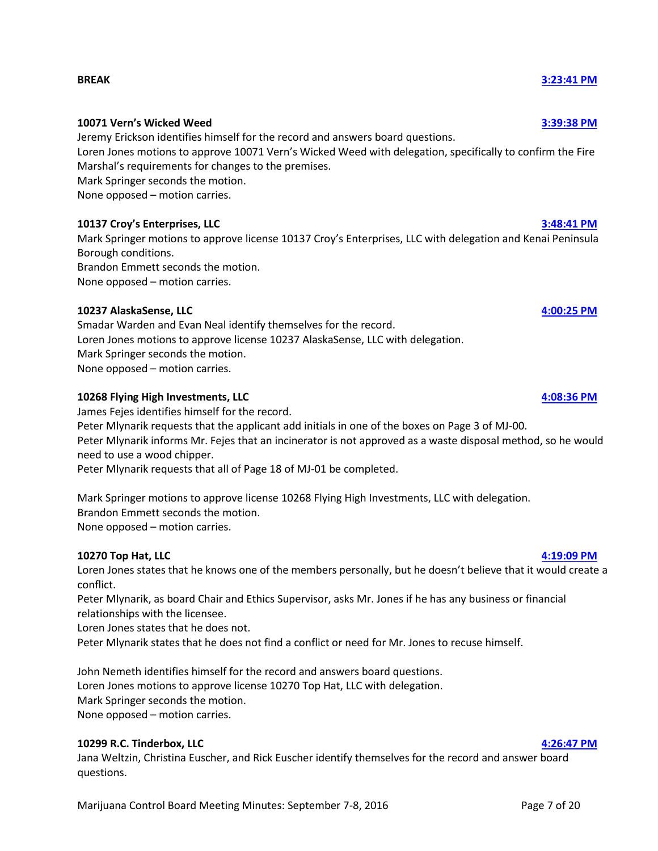### **BREAK [3:23:41 PM](ftr://?location="ABC Board"?date="07-Sep-2016"?position="15:23:41"?Data="ef60be4c")**

## **10071 Vern's Wicked Weed [3:39:38 PM](ftr://?location="ABC Board"?date="07-Sep-2016"?position="15:39:38"?Data="03ea1dd8")**

Jeremy Erickson identifies himself for the record and answers board questions.

Loren Jones motions to approve 10071 Vern's Wicked Weed with delegation, specifically to confirm the Fire Marshal's requirements for changes to the premises.

Mark Springer seconds the motion.

None opposed – motion carries.

## **10137 Croy's Enterprises, LLC [3:48:41 PM](ftr://?location="ABC Board"?date="07-Sep-2016"?position="15:48:41"?Data="f8bde05b")**

Mark Springer motions to approve license 10137 Croy's Enterprises, LLC with delegation and Kenai Peninsula Borough conditions.

Brandon Emmett seconds the motion. None opposed – motion carries.

## **10237 AlaskaSense, LLC [4:00:25 PM](ftr://?location="ABC Board"?date="07-Sep-2016"?position="16:00:25"?Data="989f5b68")**

Smadar Warden and Evan Neal identify themselves for the record. Loren Jones motions to approve license 10237 AlaskaSense, LLC with delegation. Mark Springer seconds the motion. None opposed – motion carries.

## **10268 Flying High Investments, LLC [4:08:36 PM](ftr://?location="ABC Board"?date="07-Sep-2016"?position="16:08:36"?Data="52a167d7")**

James Fejes identifies himself for the record.

Peter Mlynarik requests that the applicant add initials in one of the boxes on Page 3 of MJ-00. Peter Mlynarik informs Mr. Fejes that an incinerator is not approved as a waste disposal method, so he would

need to use a wood chipper.

Peter Mlynarik requests that all of Page 18 of MJ-01 be completed.

Mark Springer motions to approve license 10268 Flying High Investments, LLC with delegation. Brandon Emmett seconds the motion. None opposed – motion carries.

### **10270 Top Hat, LLC [4:19:09 PM](ftr://?location="ABC Board"?date="07-Sep-2016"?position="16:19:09"?Data="f831227e")**

Loren Jones states that he knows one of the members personally, but he doesn't believe that it would create a conflict.

Peter Mlynarik, as board Chair and Ethics Supervisor, asks Mr. Jones if he has any business or financial relationships with the licensee.

Loren Jones states that he does not.

Peter Mlynarik states that he does not find a conflict or need for Mr. Jones to recuse himself.

John Nemeth identifies himself for the record and answers board questions. Loren Jones motions to approve license 10270 Top Hat, LLC with delegation. Mark Springer seconds the motion. None opposed – motion carries.

### **10299 R.C. Tinderbox, LLC [4:26:47 PM](ftr://?location="ABC Board"?date="07-Sep-2016"?position="16:26:47"?Data="05ea9e26")**

Jana Weltzin, Christina Euscher, and Rick Euscher identify themselves for the record and answer board questions.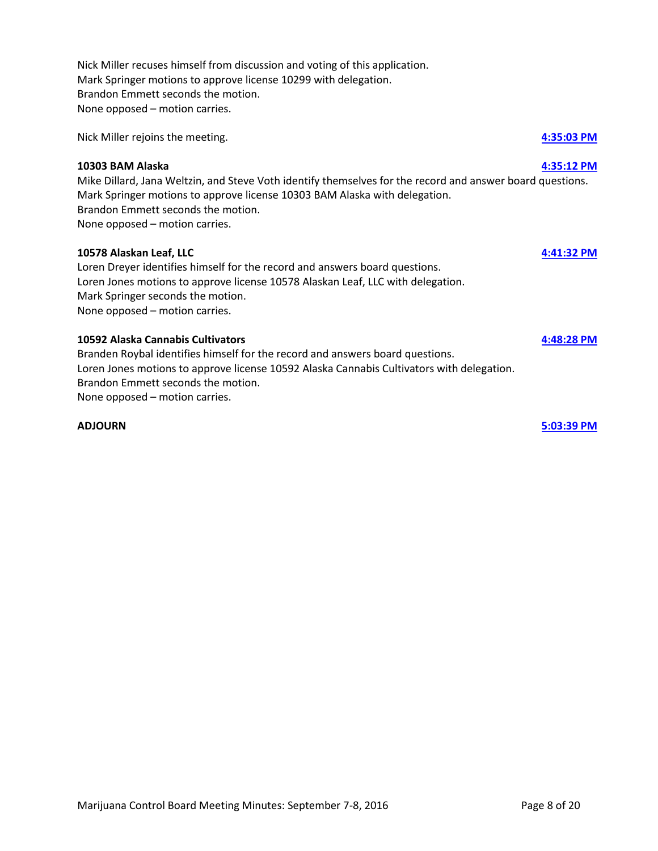Nick Miller recuses himself from discussion and voting of this application. Mark Springer motions to approve license 10299 with delegation. Brandon Emmett seconds the motion. None opposed – motion carries.

Nick Miller rejoins the meeting. **[4:35:03 PM](ftr://?location="ABC Board"?date="07-Sep-2016"?position="16:35:03"?Data="618bbc0b")**

## **10303 BAM Alaska [4:35:12 PM](ftr://?location="ABC Board"?date="07-Sep-2016"?position="16:35:12"?Data="126b08cb")**

Mike Dillard, Jana Weltzin, and Steve Voth identify themselves for the record and answer board questions. Mark Springer motions to approve license 10303 BAM Alaska with delegation. Brandon Emmett seconds the motion. None opposed – motion carries.

### **10578 Alaskan Leaf, LLC [4:41:32 PM](ftr://?location="ABC Board"?date="07-Sep-2016"?position="16:41:32"?Data="22d0e035")**

Loren Dreyer identifies himself for the record and answers board questions. Loren Jones motions to approve license 10578 Alaskan Leaf, LLC with delegation. Mark Springer seconds the motion. None opposed – motion carries.

## **10592 Alaska Cannabis Cultivators [4:48:28 PM](ftr://?location="ABC Board"?date="07-Sep-2016"?position="16:48:28"?Data="7a24f83e")**

Branden Roybal identifies himself for the record and answers board questions. Loren Jones motions to approve license 10592 Alaska Cannabis Cultivators with delegation. Brandon Emmett seconds the motion. None opposed – motion carries.

**ADJOURN [5:03:39 PM](ftr://?location="ABC Board"?date="07-Sep-2016"?position="17:03:39"?Data="5c4a1de7")**

Marijuana Control Board Meeting Minutes: September 7-8, 2016 **Page 8 of 20** Page 8 of 20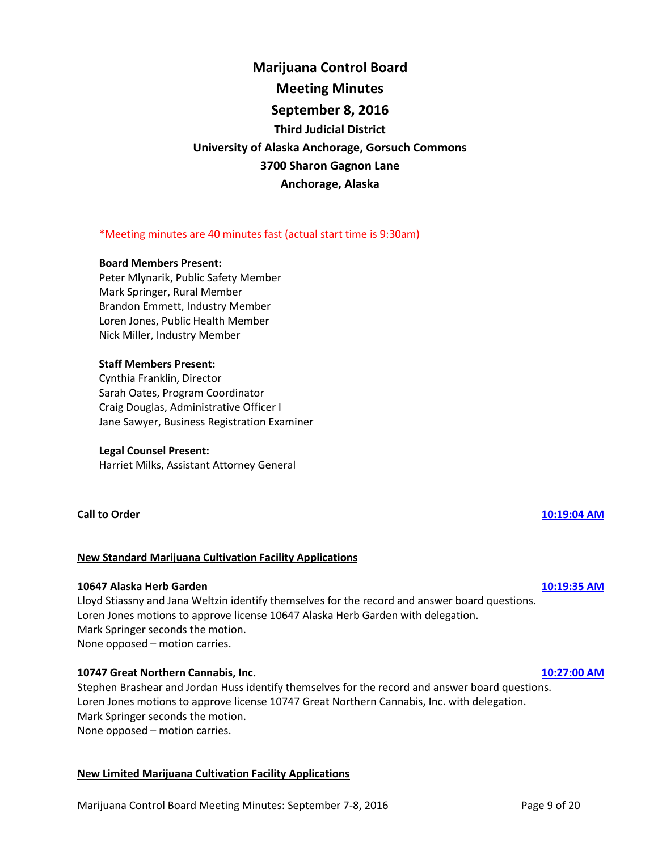# **Marijuana Control Board Meeting Minutes September 8, 2016 Third Judicial District University of Alaska Anchorage, Gorsuch Commons 3700 Sharon Gagnon Lane Anchorage, Alaska**

## \*Meeting minutes are 40 minutes fast (actual start time is 9:30am)

## **Board Members Present:**

Peter Mlynarik, Public Safety Member Mark Springer, Rural Member Brandon Emmett, Industry Member Loren Jones, Public Health Member Nick Miller, Industry Member

## **Staff Members Present:**

Cynthia Franklin, Director Sarah Oates, Program Coordinator Craig Douglas, Administrative Officer I Jane Sawyer, Business Registration Examiner

### **Legal Counsel Present:**

Harriet Milks, Assistant Attorney General

## **Call to Order [10:19:04 AM](ftr://?location="ABC Board"?date="08-Sep-2016"?position="10:19:04"?Data="5de32ed2")**

## **New Standard Marijuana Cultivation Facility Applications**

### **10647 Alaska Herb Garden [10:19:35 AM](ftr://?location="ABC Board"?date="08-Sep-2016"?position="10:19:35"?Data="63cb3b19")**

Lloyd Stiassny and Jana Weltzin identify themselves for the record and answer board questions. Loren Jones motions to approve license 10647 Alaska Herb Garden with delegation. Mark Springer seconds the motion. None opposed – motion carries.

### **10747 Great Northern Cannabis, Inc. [10:27:00 AM](ftr://?location="ABC Board"?date="08-Sep-2016"?position="10:27:00"?Data="bbd65bc6")**

Stephen Brashear and Jordan Huss identify themselves for the record and answer board questions. Loren Jones motions to approve license 10747 Great Northern Cannabis, Inc. with delegation. Mark Springer seconds the motion. None opposed – motion carries.

# **New Limited Marijuana Cultivation Facility Applications**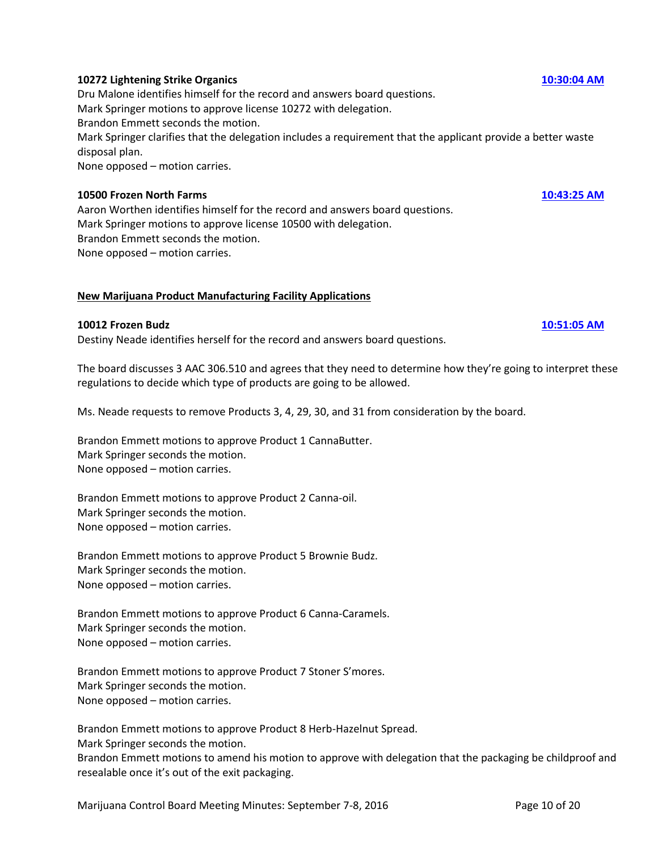## **10272 Lightening Strike Organics [10:30:04 AM](ftr://?location="ABC Board"?date="08-Sep-2016"?position="10:30:04"?Data="4dcd9b87")**

Dru Malone identifies himself for the record and answers board questions. Mark Springer motions to approve license 10272 with delegation. Brandon Emmett seconds the motion. Mark Springer clarifies that the delegation includes a requirement that the applicant provide a better waste disposal plan. None opposed – motion carries.

### **10500 Frozen North Farms [10:43:25 AM](ftr://?location="ABC Board"?date="08-Sep-2016"?position="10:43:25"?Data="27160f65")**

Aaron Worthen identifies himself for the record and answers board questions. Mark Springer motions to approve license 10500 with delegation. Brandon Emmett seconds the motion. None opposed – motion carries.

## **New Marijuana Product Manufacturing Facility Applications**

## **10012 Frozen Budz [10:51:05 AM](ftr://?location="ABC Board"?date="08-Sep-2016"?position="10:51:05"?Data="f58e323c")**

Destiny Neade identifies herself for the record and answers board questions.

The board discusses 3 AAC 306.510 and agrees that they need to determine how they're going to interpret these regulations to decide which type of products are going to be allowed.

Ms. Neade requests to remove Products 3, 4, 29, 30, and 31 from consideration by the board.

Brandon Emmett motions to approve Product 1 CannaButter. Mark Springer seconds the motion. None opposed – motion carries.

Brandon Emmett motions to approve Product 2 Canna-oil. Mark Springer seconds the motion. None opposed – motion carries.

Brandon Emmett motions to approve Product 5 Brownie Budz. Mark Springer seconds the motion. None opposed – motion carries.

Brandon Emmett motions to approve Product 6 Canna-Caramels. Mark Springer seconds the motion. None opposed – motion carries.

Brandon Emmett motions to approve Product 7 Stoner S'mores. Mark Springer seconds the motion. None opposed – motion carries.

Brandon Emmett motions to approve Product 8 Herb-Hazelnut Spread. Mark Springer seconds the motion.

Brandon Emmett motions to amend his motion to approve with delegation that the packaging be childproof and resealable once it's out of the exit packaging.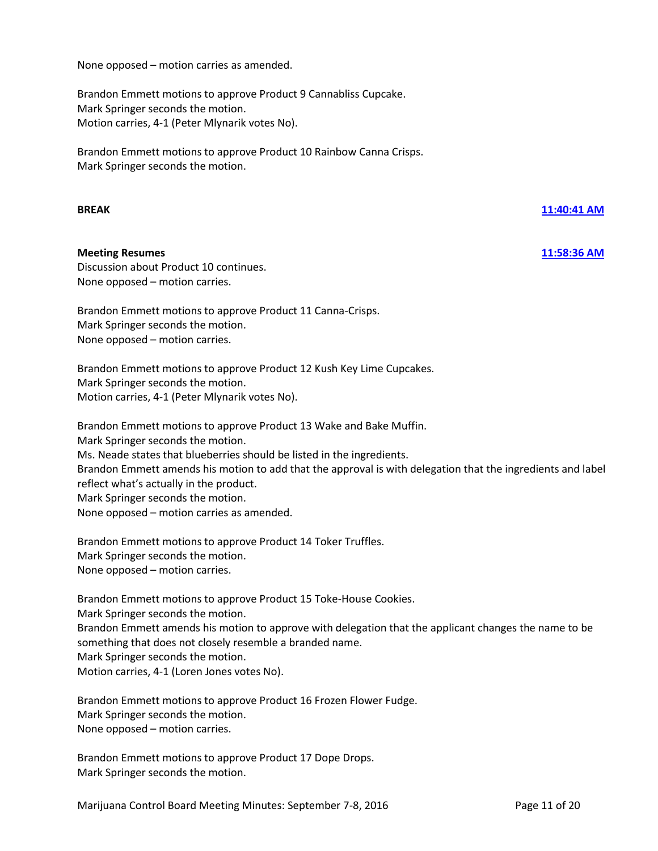None opposed – motion carries as amended.

Brandon Emmett motions to approve Product 9 Cannabliss Cupcake. Mark Springer seconds the motion. Motion carries, 4-1 (Peter Mlynarik votes No).

Brandon Emmett motions to approve Product 10 Rainbow Canna Crisps. Mark Springer seconds the motion.

### **Meeting Resumes [11:58:36 AM](ftr://?location="ABC Board"?date="08-Sep-2016"?position="11:58:36"?Data="33d25527")**

Discussion about Product 10 continues. None opposed – motion carries.

Brandon Emmett motions to approve Product 11 Canna-Crisps. Mark Springer seconds the motion. None opposed – motion carries.

Brandon Emmett motions to approve Product 12 Kush Key Lime Cupcakes. Mark Springer seconds the motion. Motion carries, 4-1 (Peter Mlynarik votes No).

Brandon Emmett motions to approve Product 13 Wake and Bake Muffin. Mark Springer seconds the motion. Ms. Neade states that blueberries should be listed in the ingredients. Brandon Emmett amends his motion to add that the approval is with delegation that the ingredients and label reflect what's actually in the product. Mark Springer seconds the motion. None opposed – motion carries as amended.

Brandon Emmett motions to approve Product 14 Toker Truffles. Mark Springer seconds the motion. None opposed – motion carries.

Brandon Emmett motions to approve Product 15 Toke-House Cookies. Mark Springer seconds the motion. Brandon Emmett amends his motion to approve with delegation that the applicant changes the name to be something that does not closely resemble a branded name. Mark Springer seconds the motion. Motion carries, 4-1 (Loren Jones votes No).

Brandon Emmett motions to approve Product 16 Frozen Flower Fudge. Mark Springer seconds the motion. None opposed – motion carries.

Brandon Emmett motions to approve Product 17 Dope Drops. Mark Springer seconds the motion.

**BREAK [11:40:41 AM](ftr://?location="ABC Board"?date="08-Sep-2016"?position="11:40:41"?Data="3b7251bd")**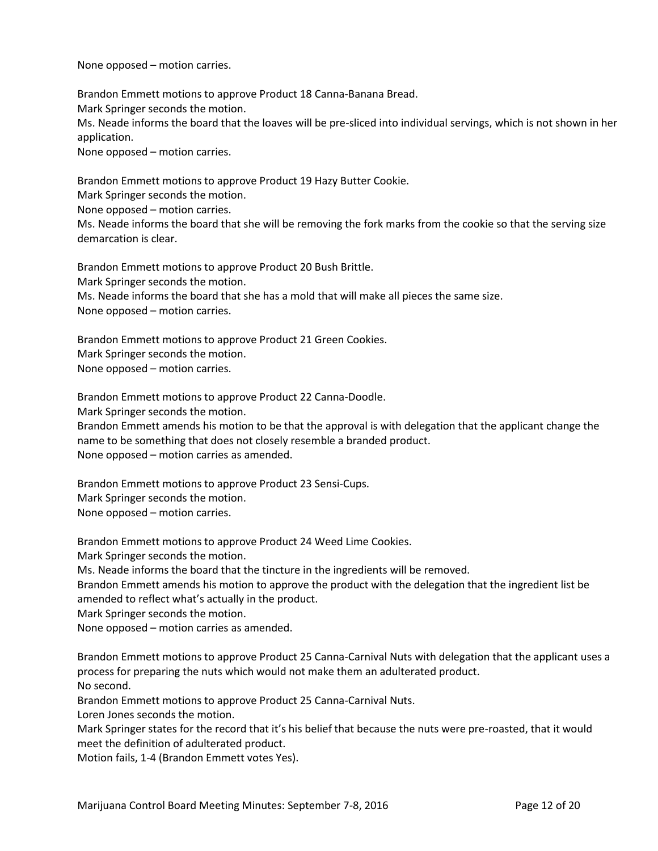None opposed – motion carries.

Brandon Emmett motions to approve Product 18 Canna-Banana Bread. Mark Springer seconds the motion. Ms. Neade informs the board that the loaves will be pre-sliced into individual servings, which is not shown in her application.

None opposed – motion carries.

Brandon Emmett motions to approve Product 19 Hazy Butter Cookie.

Mark Springer seconds the motion.

None opposed – motion carries.

Ms. Neade informs the board that she will be removing the fork marks from the cookie so that the serving size demarcation is clear.

Brandon Emmett motions to approve Product 20 Bush Brittle. Mark Springer seconds the motion. Ms. Neade informs the board that she has a mold that will make all pieces the same size. None opposed – motion carries.

Brandon Emmett motions to approve Product 21 Green Cookies. Mark Springer seconds the motion. None opposed – motion carries.

Brandon Emmett motions to approve Product 22 Canna-Doodle.

Mark Springer seconds the motion.

Brandon Emmett amends his motion to be that the approval is with delegation that the applicant change the name to be something that does not closely resemble a branded product. None opposed – motion carries as amended.

Brandon Emmett motions to approve Product 23 Sensi-Cups.

Mark Springer seconds the motion.

None opposed – motion carries.

Brandon Emmett motions to approve Product 24 Weed Lime Cookies.

Mark Springer seconds the motion.

Ms. Neade informs the board that the tincture in the ingredients will be removed.

Brandon Emmett amends his motion to approve the product with the delegation that the ingredient list be amended to reflect what's actually in the product.

Mark Springer seconds the motion.

None opposed – motion carries as amended.

Brandon Emmett motions to approve Product 25 Canna-Carnival Nuts with delegation that the applicant uses a process for preparing the nuts which would not make them an adulterated product. No second.

Brandon Emmett motions to approve Product 25 Canna-Carnival Nuts.

Loren Jones seconds the motion.

Mark Springer states for the record that it's his belief that because the nuts were pre-roasted, that it would meet the definition of adulterated product.

Motion fails, 1-4 (Brandon Emmett votes Yes).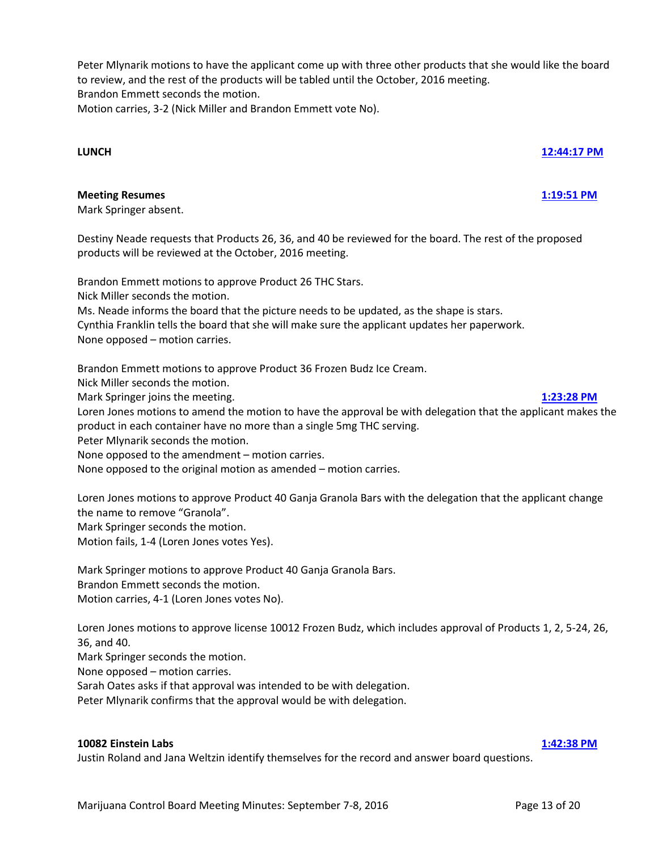**LUNCH [12:44:17 PM](ftr://?location="ABC Board"?date="08-Sep-2016"?position="12:44:17"?Data="6ef78b5a")**

Destiny Neade requests that Products 26, 36, and 40 be reviewed for the board. The rest of the proposed

Peter Mlynarik motions to have the applicant come up with three other products that she would like the board

to review, and the rest of the products will be tabled until the October, 2016 meeting.

Motion carries, 3-2 (Nick Miller and Brandon Emmett vote No).

products will be reviewed at the October, 2016 meeting.

## **Meeting Resumes [1:19:51 PM](ftr://?location="ABC Board"?date="08-Sep-2016"?position="13:19:51"?Data="1338fba1")**

Mark Springer absent.

Brandon Emmett seconds the motion.

Brandon Emmett motions to approve Product 26 THC Stars. Nick Miller seconds the motion. Ms. Neade informs the board that the picture needs to be updated, as the shape is stars. Cynthia Franklin tells the board that she will make sure the applicant updates her paperwork. None opposed – motion carries.

Brandon Emmett motions to approve Product 36 Frozen Budz Ice Cream. Nick Miller seconds the motion. Mark Springer joins the meeting. **[1:23:28](ftr://?location="ABC Board"?date="08-Sep-2016"?position="13:23:28"?Data="1389c6aa") PM** Loren Jones motions to amend the motion to have the approval be with delegation that the applicant makes the product in each container have no more than a single 5mg THC serving. Peter Mlynarik seconds the motion. None opposed to the amendment – motion carries. None opposed to the original motion as amended – motion carries.

Loren Jones motions to approve Product 40 Ganja Granola Bars with the delegation that the applicant change the name to remove "Granola". Mark Springer seconds the motion. Motion fails, 1-4 (Loren Jones votes Yes).

Mark Springer motions to approve Product 40 Ganja Granola Bars. Brandon Emmett seconds the motion. Motion carries, 4-1 (Loren Jones votes No).

Loren Jones motions to approve license 10012 Frozen Budz, which includes approval of Products 1, 2, 5-24, 26, 36, and 40.

Justin Roland and Jana Weltzin identify themselves for the record and answer board questions.

Mark Springer seconds the motion.

None opposed – motion carries.

Sarah Oates asks if that approval was intended to be with delegation.

Peter Mlynarik confirms that the approval would be with delegation.

### **10082 Einstein Labs [1:42:38 PM](ftr://?location="ABC Board"?date="08-Sep-2016"?position="13:42:38"?Data="d82adbd1")**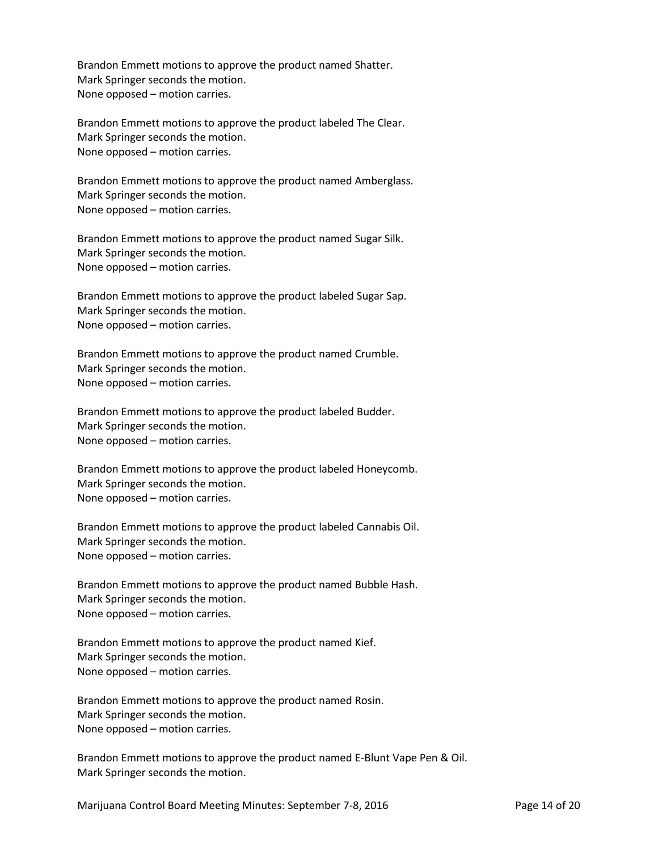Brandon Emmett motions to approve the product named Shatter. Mark Springer seconds the motion. None opposed – motion carries.

Brandon Emmett motions to approve the product labeled The Clear. Mark Springer seconds the motion. None opposed – motion carries.

Brandon Emmett motions to approve the product named Amberglass. Mark Springer seconds the motion. None opposed – motion carries.

Brandon Emmett motions to approve the product named Sugar Silk. Mark Springer seconds the motion. None opposed – motion carries.

Brandon Emmett motions to approve the product labeled Sugar Sap. Mark Springer seconds the motion. None opposed – motion carries.

Brandon Emmett motions to approve the product named Crumble. Mark Springer seconds the motion. None opposed – motion carries.

Brandon Emmett motions to approve the product labeled Budder. Mark Springer seconds the motion. None opposed – motion carries.

Brandon Emmett motions to approve the product labeled Honeycomb. Mark Springer seconds the motion. None opposed – motion carries.

Brandon Emmett motions to approve the product labeled Cannabis Oil. Mark Springer seconds the motion. None opposed – motion carries.

Brandon Emmett motions to approve the product named Bubble Hash. Mark Springer seconds the motion. None opposed – motion carries.

Brandon Emmett motions to approve the product named Kief. Mark Springer seconds the motion. None opposed – motion carries.

Brandon Emmett motions to approve the product named Rosin. Mark Springer seconds the motion. None opposed – motion carries.

Brandon Emmett motions to approve the product named E-Blunt Vape Pen & Oil. Mark Springer seconds the motion.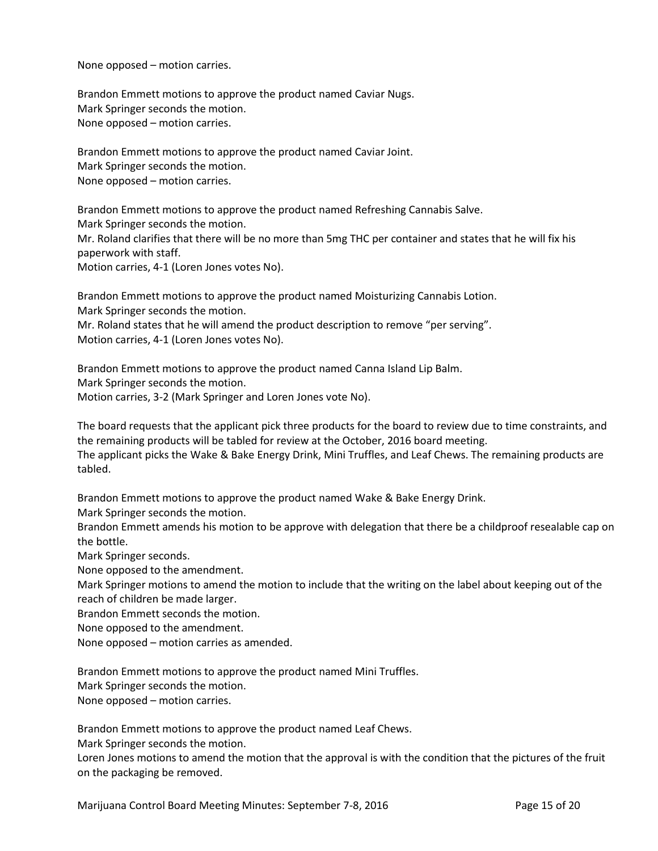None opposed – motion carries.

Brandon Emmett motions to approve the product named Caviar Nugs. Mark Springer seconds the motion. None opposed – motion carries.

Brandon Emmett motions to approve the product named Caviar Joint. Mark Springer seconds the motion. None opposed – motion carries.

Brandon Emmett motions to approve the product named Refreshing Cannabis Salve. Mark Springer seconds the motion.

Mr. Roland clarifies that there will be no more than 5mg THC per container and states that he will fix his paperwork with staff.

Motion carries, 4-1 (Loren Jones votes No).

Brandon Emmett motions to approve the product named Moisturizing Cannabis Lotion. Mark Springer seconds the motion.

Mr. Roland states that he will amend the product description to remove "per serving". Motion carries, 4-1 (Loren Jones votes No).

Brandon Emmett motions to approve the product named Canna Island Lip Balm. Mark Springer seconds the motion. Motion carries, 3-2 (Mark Springer and Loren Jones vote No).

The board requests that the applicant pick three products for the board to review due to time constraints, and the remaining products will be tabled for review at the October, 2016 board meeting. The applicant picks the Wake & Bake Energy Drink, Mini Truffles, and Leaf Chews. The remaining products are tabled.

Brandon Emmett motions to approve the product named Wake & Bake Energy Drink.

Mark Springer seconds the motion.

Brandon Emmett amends his motion to be approve with delegation that there be a childproof resealable cap on the bottle.

Mark Springer seconds.

None opposed to the amendment.

Mark Springer motions to amend the motion to include that the writing on the label about keeping out of the reach of children be made larger.

Brandon Emmett seconds the motion.

None opposed to the amendment.

None opposed – motion carries as amended.

Brandon Emmett motions to approve the product named Mini Truffles.

Mark Springer seconds the motion.

None opposed – motion carries.

Brandon Emmett motions to approve the product named Leaf Chews.

Mark Springer seconds the motion.

Loren Jones motions to amend the motion that the approval is with the condition that the pictures of the fruit on the packaging be removed.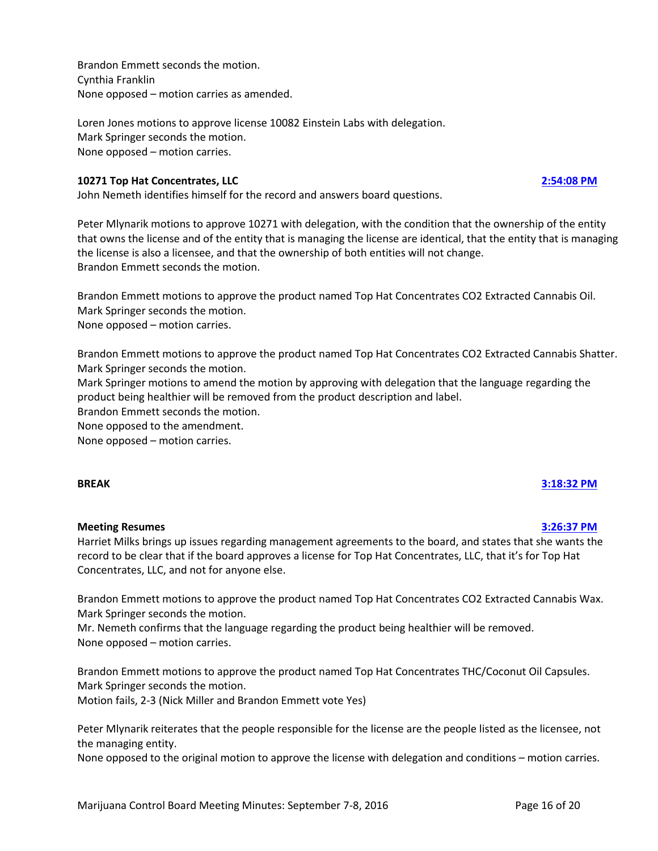Brandon Emmett seconds the motion. Cynthia Franklin None opposed – motion carries as amended.

Loren Jones motions to approve license 10082 Einstein Labs with delegation. Mark Springer seconds the motion. None opposed – motion carries.

## **10271 Top Hat Concentrates, LLC [2:54:08 PM](ftr://?location="ABC Board"?date="08-Sep-2016"?position="14:54:08"?Data="35fc6d22")**

John Nemeth identifies himself for the record and answers board questions.

Peter Mlynarik motions to approve 10271 with delegation, with the condition that the ownership of the entity that owns the license and of the entity that is managing the license are identical, that the entity that is managing the license is also a licensee, and that the ownership of both entities will not change. Brandon Emmett seconds the motion.

Brandon Emmett motions to approve the product named Top Hat Concentrates CO2 Extracted Cannabis Oil. Mark Springer seconds the motion. None opposed – motion carries.

Brandon Emmett motions to approve the product named Top Hat Concentrates CO2 Extracted Cannabis Shatter. Mark Springer seconds the motion.

Mark Springer motions to amend the motion by approving with delegation that the language regarding the product being healthier will be removed from the product description and label.

Brandon Emmett seconds the motion.

None opposed to the amendment.

None opposed – motion carries.

## **BREAK [3:18:32 PM](ftr://?location="ABC Board"?date="08-Sep-2016"?position="15:18:32"?Data="6b87b588")**

## **Meeting Resumes [3:26:37 PM](ftr://?location="ABC Board"?date="08-Sep-2016"?position="15:26:37"?Data="350ea7f9")**

Harriet Milks brings up issues regarding management agreements to the board, and states that she wants the record to be clear that if the board approves a license for Top Hat Concentrates, LLC, that it's for Top Hat Concentrates, LLC, and not for anyone else.

Brandon Emmett motions to approve the product named Top Hat Concentrates CO2 Extracted Cannabis Wax. Mark Springer seconds the motion.

Mr. Nemeth confirms that the language regarding the product being healthier will be removed. None opposed – motion carries.

Brandon Emmett motions to approve the product named Top Hat Concentrates THC/Coconut Oil Capsules. Mark Springer seconds the motion.

Motion fails, 2-3 (Nick Miller and Brandon Emmett vote Yes)

Peter Mlynarik reiterates that the people responsible for the license are the people listed as the licensee, not the managing entity.

None opposed to the original motion to approve the license with delegation and conditions – motion carries.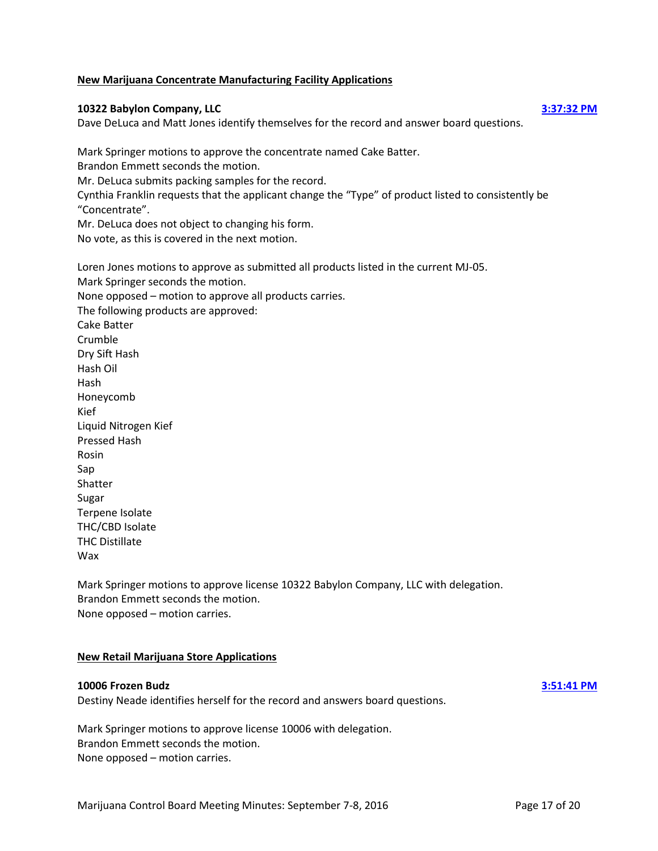### **New Marijuana Concentrate Manufacturing Facility Applications**

### **10322 Babylon Company, LLC [3:37:32 PM](ftr://?location="ABC Board"?date="08-Sep-2016"?position="15:37:32"?Data="76b7709a")**

Dave DeLuca and Matt Jones identify themselves for the record and answer board questions.

Mark Springer motions to approve the concentrate named Cake Batter. Brandon Emmett seconds the motion. Mr. DeLuca submits packing samples for the record. Cynthia Franklin requests that the applicant change the "Type" of product listed to consistently be "Concentrate". Mr. DeLuca does not object to changing his form. No vote, as this is covered in the next motion.

Loren Jones motions to approve as submitted all products listed in the current MJ-05. Mark Springer seconds the motion. None opposed – motion to approve all products carries. The following products are approved: Cake Batter Crumble Dry Sift Hash Hash Oil Hash Honeycomb Kief Liquid Nitrogen Kief Pressed Hash Rosin Sap Shatter Sugar Terpene Isolate THC/CBD Isolate THC Distillate Wax

Mark Springer motions to approve license 10322 Babylon Company, LLC with delegation. Brandon Emmett seconds the motion. None opposed – motion carries.

### **New Retail Marijuana Store Applications**

### **10006 Frozen Budz [3:51:41 PM](ftr://?location="ABC Board"?date="08-Sep-2016"?position="15:51:41"?Data="9b243a6b")**

Destiny Neade identifies herself for the record and answers board questions.

Mark Springer motions to approve license 10006 with delegation. Brandon Emmett seconds the motion. None opposed – motion carries.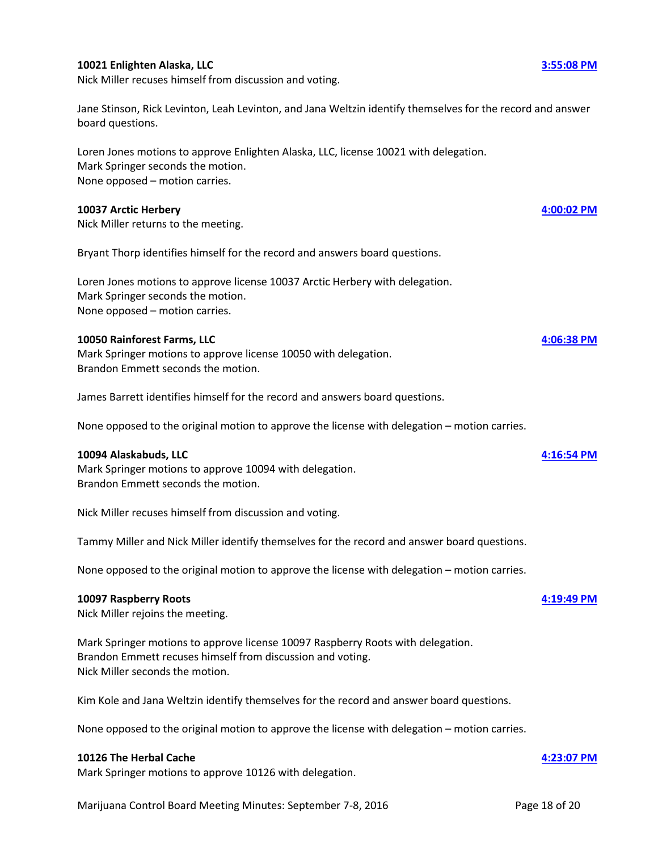## **10021 Enlighten Alaska, LLC [3:55:08 PM](ftr://?location="ABC Board"?date="08-Sep-2016"?position="15:55:08"?Data="7456978d")**

Nick Miller recuses himself from discussion and voting.

Jane Stinson, Rick Levinton, Leah Levinton, and Jana Weltzin identify themselves for the record and answer board questions.

Loren Jones motions to approve Enlighten Alaska, LLC, license 10021 with delegation. Mark Springer seconds the motion. None opposed – motion carries.

### **10037 Arctic Herbery [4:00:02 PM](ftr://?location="ABC Board"?date="08-Sep-2016"?position="16:00:02"?Data="4ca97f4f")**

Nick Miller returns to the meeting.

Bryant Thorp identifies himself for the record and answers board questions.

Loren Jones motions to approve license 10037 Arctic Herbery with delegation. Mark Springer seconds the motion. None opposed – motion carries.

### **10050 Rainforest Farms, LLC [4:06:38 PM](ftr://?location="ABC Board"?date="08-Sep-2016"?position="16:06:38"?Data="a89e9dc2")**

Mark Springer motions to approve license 10050 with delegation. Brandon Emmett seconds the motion.

James Barrett identifies himself for the record and answers board questions.

None opposed to the original motion to approve the license with delegation – motion carries.

### **10094 Alaskabuds, LLC [4:16:54 PM](ftr://?location="ABC Board"?date="08-Sep-2016"?position="16:16:54"?Data="afb48d08")**

Mark Springer motions to approve 10094 with delegation. Brandon Emmett seconds the motion.

Nick Miller recuses himself from discussion and voting.

Tammy Miller and Nick Miller identify themselves for the record and answer board questions.

None opposed to the original motion to approve the license with delegation – motion carries.

### **10097 Raspberry Roots [4:19:49 PM](ftr://?location="ABC Board"?date="08-Sep-2016"?position="16:19:49"?Data="6789ddfd")**

Nick Miller rejoins the meeting.

Mark Springer motions to approve license 10097 Raspberry Roots with delegation. Brandon Emmett recuses himself from discussion and voting. Nick Miller seconds the motion.

Kim Kole and Jana Weltzin identify themselves for the record and answer board questions.

None opposed to the original motion to approve the license with delegation – motion carries.

### **10126 The Herbal Cache [4:23:07 PM](ftr://?location="ABC Board"?date="08-Sep-2016"?position="16:23:07"?Data="7c7baae1")**

Mark Springer motions to approve 10126 with delegation.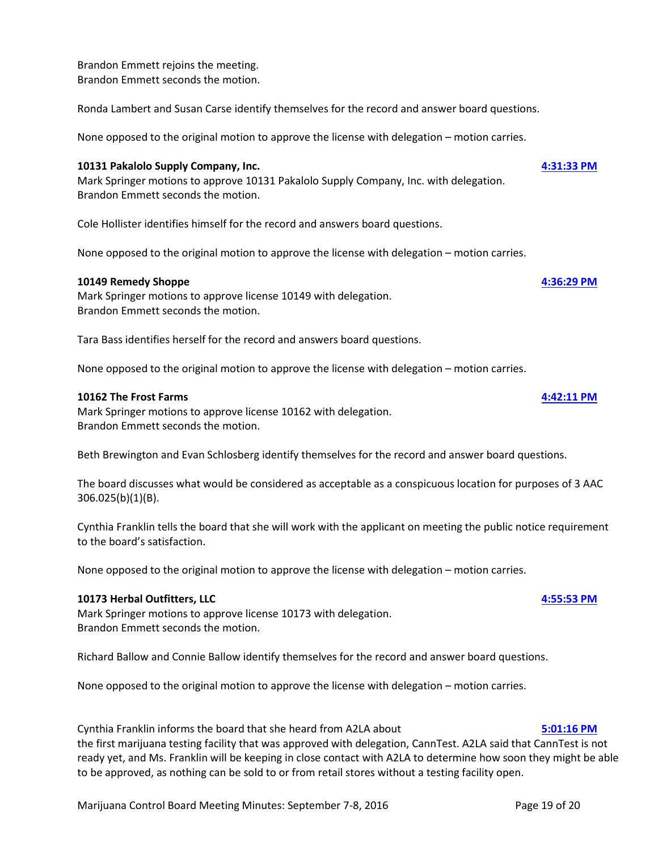Mark Springer motions to approve license 10162 with delegation. Brandon Emmett seconds the motion.

Beth Brewington and Evan Schlosberg identify themselves for the record and answer board questions.

The board discusses what would be considered as acceptable as a conspicuous location for purposes of 3 AAC 306.025(b)(1)(B).

to the board's satisfaction.

None opposed to the original motion to approve the license with delegation – motion carries.

### **10173 Herbal Outfitters, LLC [4:55:53 PM](ftr://?location="ABC Board"?date="08-Sep-2016"?position="16:55:53"?Data="da5235cd")**

Mark Springer motions to approve license 10173 with delegation. Brandon Emmett seconds the motion.

Richard Ballow and Connie Ballow identify themselves for the record and answer board questions.

None opposed to the original motion to approve the license with delegation – motion carries.

Cynthia Franklin informs the board that she heard from A2LA about **[5:01:16 PM](ftr://?location="ABC Board"?date="08-Sep-2016"?position="17:01:16"?Data="493dc112")** the first marijuana testing facility that was approved with delegation, CannTest. A2LA said that CannTest is not ready yet, and Ms. Franklin will be keeping in close contact with A2LA to determine how soon they might be able to be approved, as nothing can be sold to or from retail stores without a testing facility open.

## Brandon Emmett rejoins the meeting. Brandon Emmett seconds the motion.

Ronda Lambert and Susan Carse identify themselves for the record and answer board questions.

None opposed to the original motion to approve the license with delegation – motion carries.

## **10131 Pakalolo Supply Company, Inc. [4:31:33 PM](ftr://?location="ABC Board"?date="08-Sep-2016"?position="16:31:33"?Data="eaddd34a")**

Mark Springer motions to approve 10131 Pakalolo Supply Company, Inc. with delegation. Brandon Emmett seconds the motion.

Cole Hollister identifies himself for the record and answers board questions.

None opposed to the original motion to approve the license with delegation – motion carries.

### **10149 Remedy Shoppe [4:36:29 PM](ftr://?location="ABC Board"?date="08-Sep-2016"?position="16:36:29"?Data="ace0fbf2")**

Mark Springer motions to approve license 10149 with delegation. Brandon Emmett seconds the motion.

Tara Bass identifies herself for the record and answers board questions.

None opposed to the original motion to approve the license with delegation – motion carries.

### **10162 The Frost Farms [4:42:11 PM](ftr://?location="ABC Board"?date="08-Sep-2016"?position="16:42:11"?Data="92b3e846")**

Cynthia Franklin tells the board that she will work with the applicant on meeting the public notice requirement